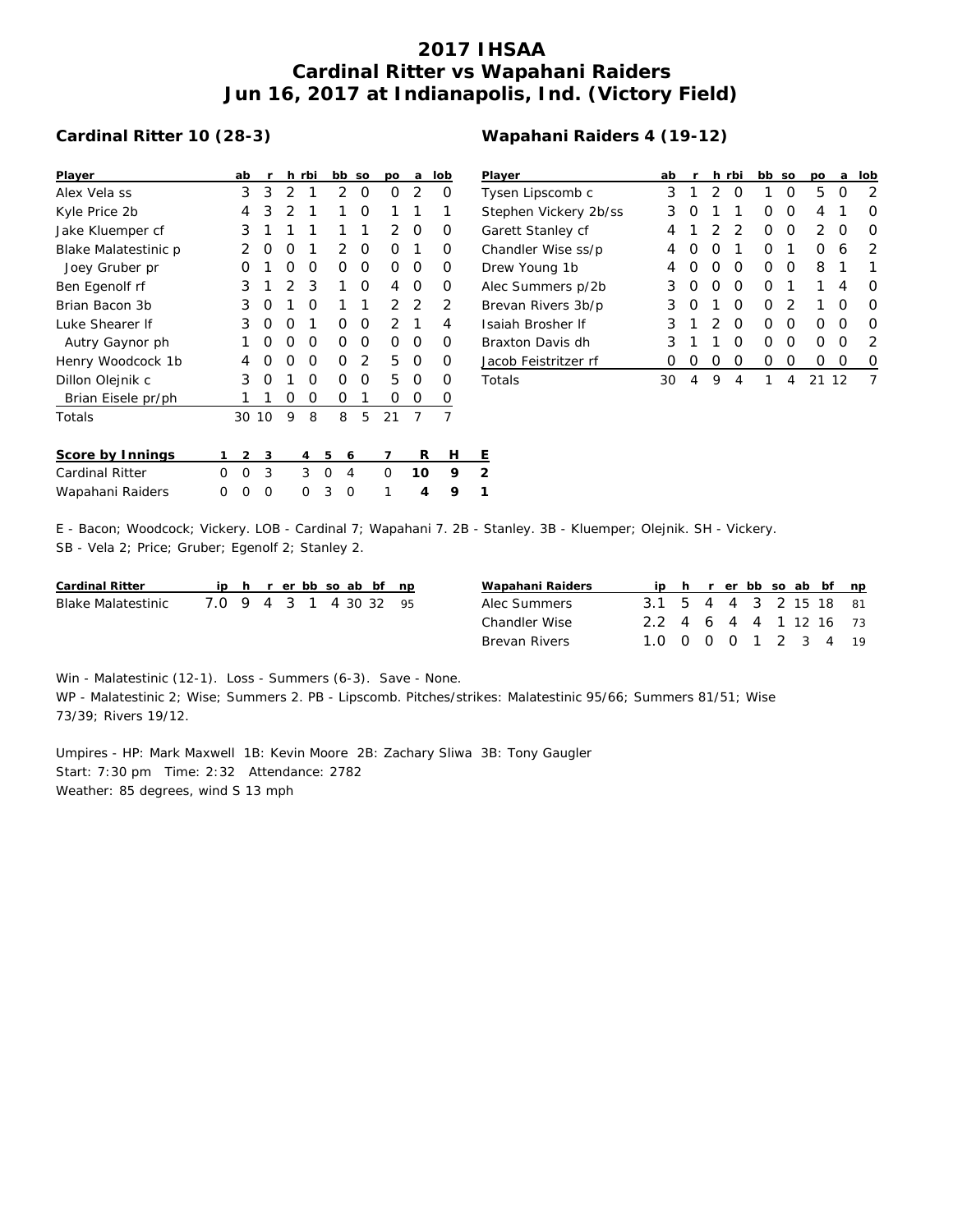## **2017 IHSAA Cardinal Ritter vs Wapahani Raiders Jun 16, 2017 at Indianapolis, Ind. (Victory Field)**

## **Cardinal Ritter 10 (28-3)**

| Player                 |   | ab       |     |   | h rbi |   | bb | <b>SO</b> | po | a  | lob            | P              |
|------------------------|---|----------|-----|---|-------|---|----|-----------|----|----|----------------|----------------|
| Alex Vela ss           |   | 3        | 3   | 2 | 1     |   | 2  | O         | 0  | 2  | Ο              | T              |
| Kyle Price 2b          |   | 4        | 3   | 2 | 1     |   | 1  | Ο         | 1  | 1  | 1              | S              |
| Jake Kluemper cf       |   | 3        | 1   | 1 | 1     |   | 1  | 1         | 2  | Ο  | Ο              | G              |
| Blake Malatestinic p   |   | 2        | O   | O | 1     |   | 2  | Ο         | O  | 1  | O              | C              |
| Joey Gruber pr         |   | Ο        | 1   | 0 | 0     |   | 0  | 0         | 0  | 0  | 0              | С              |
| Ben Egenolf rf         |   | 3        | 1   | 2 | 3     |   | 1  | Ο         | 4  | 0  | 0              | А              |
| Brian Bacon 3b         |   | 3        | 0   | 1 | Ο     |   | 1  | 1         | 2  | 2  | 2              | B              |
| Luke Shearer If        |   | 3        | 0   | O | 1     |   | O  | Ο         | 2  | 1  | 4              | Ŀ              |
| Autry Gaynor ph        |   | 1        | 0   | Ο | Ο     |   | O  | Ο         | 0  | Ο  | O              | B              |
| Henry Woodcock 1b      |   | 4        | ∩   | Ο | Ο     |   | 0  | 2         | 5  | Ο  | O              | <u>ل</u>       |
| Dillon Olejnik c       |   | 3        | O   | 1 | O     |   | Ω  | O         | 5  | O  | O              | T              |
| Brian Eisele pr/ph     |   |          |     | Ο | O     |   | Ο  | 1         | 0  | O  | 0              |                |
| Totals                 |   | 30       | -10 | 9 | 8     |   | 8  | 5         | 21 | 7  | $\overline{7}$ |                |
| Score by Innings       | 1 | 2        | 3   |   | 4     | 5 | 6  |           | 7  | R  | н              | Ε              |
| <b>Cardinal Ritter</b> | Ω | $\Omega$ | 3   |   | 3     | 0 | 4  |           | 0  | 10 | 9              | $\overline{2}$ |
| Wapahani Raiders       | Ω | Ω        | Ω   |   | O     | 3 | O  |           | 1  | 4  | 9              | 1              |

| Wapahani Raiders 4 (19-12) |  |
|----------------------------|--|
|----------------------------|--|

| Player                | ab               | r                | h.               | rbi | bb | <b>SO</b> | DО | a                | lob              |
|-----------------------|------------------|------------------|------------------|-----|----|-----------|----|------------------|------------------|
| Tysen Lipscomb c      | 3                | 1                | 2                | O   | 1  | Ω         | 5  | Ω                | 2                |
| Stephen Vickery 2b/ss | 3                | $\left( \right)$ | 1                | 1   | 0  | Ω         | 4  | 1                | $\left( \right)$ |
| Garett Stanley cf     | 4                | 1                | 2                | 2   | Ω  | O         | 2  | $\left( \right)$ | Ω                |
| Chandler Wise ss/p    | 4                | $\left( \right)$ | O                | 1   | Ω  | 1         | O  | 6                | 2                |
| Drew Young 1b         | 4                | $\left( \right)$ | O                | O   | Ω  | O         | 8  | 1                |                  |
| Alec Summers p/2b     | 3                | O                | Ω                | Ω   | ∩  | 1         | 1  | 4                | Ω                |
| Brevan Rivers 3b/p    | 3                | ∩                | 1                | Ω   | Ω  | 2         | 1  | ∩                | ∩                |
| Isaiah Brosher If     | 3                | 1                | 2                | Ω   | Ω  | O         | ∩  | Ω                | ∩                |
| Braxton Davis dh      | 3                | 1                | 1                | Ω   | Ω  | O         | O  | Ω                | 2                |
| Jacob Feistritzer rf  | $\left( \right)$ | $\left( \right)$ | $\left( \right)$ | Ω   | Ω  | Ω         | 0  | $\left( \right)$ | $\left( \right)$ |
| Totals                | 30               | 4                | 9                | 4   | 1  | 4         |    | 1 2              |                  |

E - Bacon; Woodcock; Vickery. LOB - Cardinal 7; Wapahani 7. 2B - Stanley. 3B - Kluemper; Olejnik. SH - Vickery. SB - Vela 2; Price; Gruber; Egenolf 2; Stanley 2.

| Cardinal Ritter    |                        |  |  |  | ip h r er bb so ab bf np |  | Wapahani Raiders |                        |  |  |  | ip h r er bb so ab bf np |
|--------------------|------------------------|--|--|--|--------------------------|--|------------------|------------------------|--|--|--|--------------------------|
| Blake Malatestinic | 7.0 9 4 3 1 4 30 32 95 |  |  |  |                          |  | Alec Summers     | 3.1 5 4 4 3 2 15 18 81 |  |  |  |                          |
|                    |                        |  |  |  |                          |  | Chandler Wise    | 2.2 4 6 4 4 1 12 16 73 |  |  |  |                          |
|                    |                        |  |  |  |                          |  | Brevan Rivers    | 1.0 0 0 0 1 2 3 4 19   |  |  |  |                          |

Win - Malatestinic (12-1). Loss - Summers (6-3). Save - None. WP - Malatestinic 2; Wise; Summers 2. PB - Lipscomb. Pitches/strikes: Malatestinic 95/66; Summers 81/51; Wise 73/39; Rivers 19/12.

Umpires - HP: Mark Maxwell 1B: Kevin Moore 2B: Zachary Sliwa 3B: Tony Gaugler Start: 7:30 pm Time: 2:32 Attendance: 2782 Weather: 85 degrees, wind S 13 mph